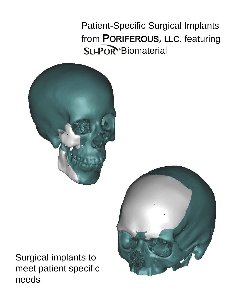Patient-Specific Surgical Implants from PORIFEROUS, LLC. featuring **SU-POR**<sup>®</sup>Biomaterial



Surgical implants to meet patient specific needs

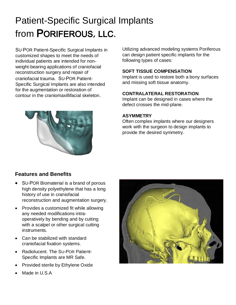# Patient-Specific Surgical Implants from PORIFEROUS, LLC.

SU-POR Patient-Specific Surgical Implants in customized shapes to meet the needs of individual patients are intended for nonweight-bearing applications of craniofacial reconstruction surgery and repair of craniofacial trauma. SU-POR Patient-Specific Surgical Implants are also intended for the augmentation or restoration of contour in the craniomaxillifacial skeleton.

Utilizing advanced modeling systems Poriferous can design patient specific implants for the following types of cases:

#### **SOFT TISSUE COMPENSATION**

Implant is used to restore both a bony surfaces and missing soft tissue anatomy.

## **CONTRALATERAL RESTORATION**

Implant can be designed in cases where the defect crosses the mid-plane.

#### **ASYMMETRY**

Often complex implants where our designers work with the surgeon to design implants to provide the desired symmetry.



- SU-POR Biomaterial is a brand of porous high density polyethylene that has a long history of use in craniofacial reconstruction and augmentation surgery.
- Provides a customized fit while allowing any needed modifications intraoperatively by bending and by cutting with a scalpel or other surgical cutting instruments.
- Can be stabilized with standard craniofacial fixation systems.
- Radiolucent. The SU-POR Patient-Specific Implants are MR Safe.
- Provided sterile by Ethylene Oxide
- Made in U.S.A



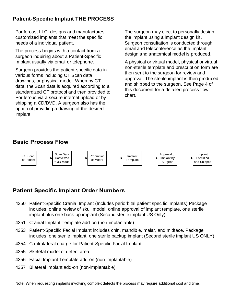# **Patient-Specific Implant THE PROCESS**

Poriferous, LLC. designs and manufactures customized implants that meet the specific needs of a individual patient.

The process begins with a contact from a surgeon inquiring about a Patient-Specific Implant usually via email or telephone.

Surgeon provides the patient-specific data in various forms including CT Scan data, drawings, or physical model. When by CT data, the Scan data is acquired according to a standardized CT protocol and then provided to Poriferous via a secure internet upload or by shipping a CD/DVD. A surgeon also has the option of providing a drawing of the desired implant

The surgeon may elect to personally design the implant using a implant design kit. Surgeon consultation is conducted through email and teleconference as the implant design and anatomical model is produced.

A physical or virtual model, physical or virtual non-sterile template and prescription form are then sent to the surgeon for review and approval. The sterile implant is then produced and shipped to the surgeon. See Page 4 of this document for a detailed process flow chart.

## **Basic Process Flow**



## **Patient Specific Implant Order Numbers**

- 4350 Patient-Specific Cranial Implant (Includes periorbital patient specific implants) Package includes; online review of skull model, online approval of implant template, one sterile implant plus one back-up implant (Second sterile implant US Only)
- 4351 Cranial Implant Template add-on (non-implantable)
- 4353 Patient-Specific Facial Implant includes chin, mandible, malar, and midface. Package includes; one sterile implant, one sterile backup implant (Second sterile implant US ONLY).
- 4354 Contralateral charge for Patient-Specific Facial Implant
- 4355 Skeletal model of defect area
- 4356 Facial Implant Template add-on (non-implantable)
- 4357 Bilateral Implant add-on (non-implantable)

Note: When requesting implants involving complex defects the process may require additional cost and time.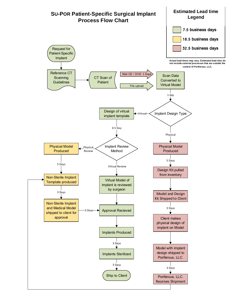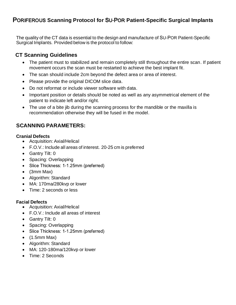# PORIFEROUS **Scanning Protocol for** SU-POR **Patient-Specific Surgical Implants**

The quality of the CT data is essential to the design and manufacture of SU‐POR Patient-Specific Surgical Implants. Provided below is the protocol to follow:

## **CT Scanning Guidelines**

- The patient must to stabilized and remain completely still throughout the entire scan. If patient movement occurs the scan must be restarted to achieve the best implant fit.
- The scan should include 2cm beyond the defect area or area of interest.
- Please provide the original DICOM slice data.
- Do not reformat or include viewer software with data.
- Important position or details should be noted as well as any asymmetrical element of the patient to indicate left and/or right.
- The use of a bite jib during the scanning process for the mandible or the maxilla is recommendation otherwise they will be fused in the model.

## **SCANNING PARAMETERS:**

#### **Cranial Defects**

- Acquisition: Axial/Helical
- F.O.V.: Include all areas of interest. 20‐25 cm is preferred
- Gantry Tilt: 0
- Spacing: Overlapping
- Slice Thickness: 1-1.25mm (preferred)
- (3mm Max)
- Algorithm: Standard
- MA: 170ma/280kvp or lower
- Time: 2 seconds or less

#### **Facial Defects**

- Acquisition: Axial/Helical
- F.O.V.: Include all areas of interest
- Gantry Tilt: 0
- Spacing: Overlapping
- Slice Thickness: 1-1.25mm (preferred)
- $\bullet$  (1.5mm Max)
- Algorithm: Standard
- MA: 120-180ma/120kvp or lower
- Time: 2 Seconds